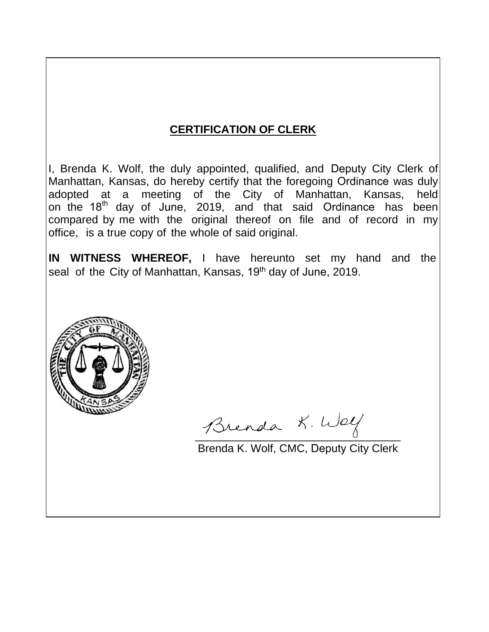# **CERTIFICATION OF CLERK**

I, Brenda K. Wolf, the duly appointed, qualified, and Deputy City Clerk of Manhattan, Kansas, do hereby certify that the foregoing Ordinance was duly adopted at a meeting of the City of Manhattan, Kansas, held on the 18<sup>th</sup> day of June, 2019, and that said Ordinance has been compared by me with the original thereof on file and of record in my office, is a true copy of the whole of said original.

**IN WITNESS WHEREOF,** I have hereunto set my hand and the seal of the City of Manhattan, Kansas, 19<sup>th</sup> day of June, 2019.



Brenda K. Welf

Brenda K. Wolf, CMC, Deputy City Clerk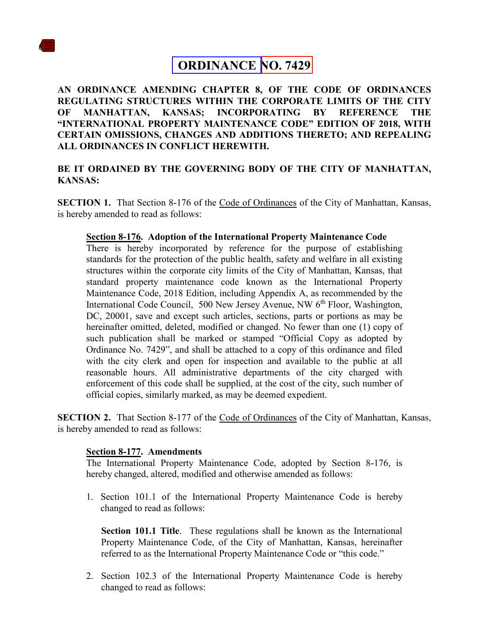

## **ORDINANCE NO. 7429**

**AN ORDINANCE AMENDING CHAPTER 8, OF THE CODE OF ORDINANCES REGULATING STRUCTURES WITHIN THE CORPORATE LIMITS OF THE CITY OF MANHATTAN, KANSAS; INCORPORATING BY REFERENCE THE "INTERNATIONAL PROPERTY MAINTENANCE CODE" EDITION OF 2018, WITH CERTAIN OMISSIONS, CHANGES AND ADDITIONS THERETO; AND REPEALING ALL ORDINANCES IN CONFLICT HEREWITH.**

#### **BE IT ORDAINED BY THE GOVERNING BODY OF THE CITY OF MANHATTAN, KANSAS:**

**SECTION 1.** That Section 8-176 of the Code of Ordinances of the City of Manhattan, Kansas, is hereby amended to read as follows:

#### **Section 8-176. Adoption of the International Property Maintenance Code**

There is hereby incorporated by reference for the purpose of establishing standards for the protection of the public health, safety and welfare in all existing structures within the corporate city limits of the City of Manhattan, Kansas, that standard property maintenance code known as the International Property Maintenance Code, 2018 Edition, including Appendix A, as recommended by the International Code Council, 500 New Jersey Avenue, NW 6<sup>th</sup> Floor, Washington, DC, 20001, save and except such articles, sections, parts or portions as may be hereinafter omitted, deleted, modified or changed. No fewer than one (1) copy of such publication shall be marked or stamped "Official Copy as adopted by Ordinance No. 7429", and shall be attached to a copy of this ordinance and filed with the city clerk and open for inspection and available to the public at all reasonable hours. All administrative departments of the city charged with enforcement of this code shall be supplied, at the cost of the city, such number of official copies, similarly marked, as may be deemed expedient.

**SECTION 2.** That Section 8-177 of the Code of Ordinances of the City of Manhattan, Kansas, is hereby amended to read as follows:

#### **Section 8-177. Amendments**

The International Property Maintenance Code, adopted by Section 8-176, is hereby changed, altered, modified and otherwise amended as follows:

1. Section 101.1 of the International Property Maintenance Code is hereby changed to read as follows:

**Section 101.1 Title**. These regulations shall be known as the International Property Maintenance Code, of the City of Manhattan, Kansas, hereinafter referred to as the International Property Maintenance Code or "this code."

2. Section 102.3 of the International Property Maintenance Code is hereby changed to read as follows: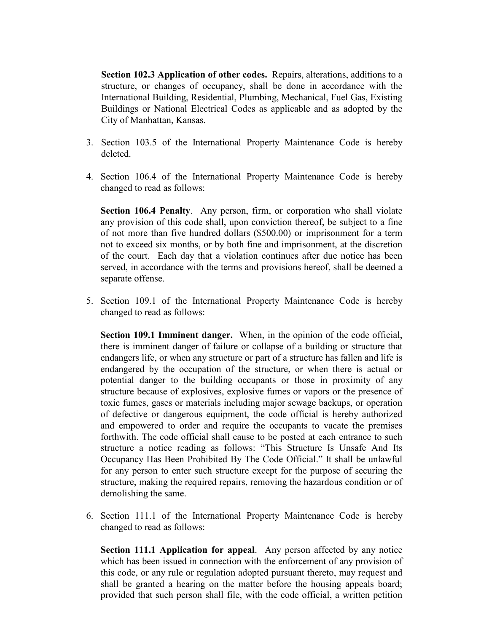**Section 102.3 Application of other codes.** Repairs, alterations, additions to a structure, or changes of occupancy, shall be done in accordance with the International Building, Residential, Plumbing, Mechanical, Fuel Gas, Existing Buildings or National Electrical Codes as applicable and as adopted by the City of Manhattan, Kansas.

- 3. Section 103.5 of the International Property Maintenance Code is hereby deleted.
- 4. Section 106.4 of the International Property Maintenance Code is hereby changed to read as follows:

**Section 106.4 Penalty**. Any person, firm, or corporation who shall violate any provision of this code shall, upon conviction thereof, be subject to a fine of not more than five hundred dollars (\$500.00) or imprisonment for a term not to exceed six months, or by both fine and imprisonment, at the discretion of the court. Each day that a violation continues after due notice has been served, in accordance with the terms and provisions hereof, shall be deemed a separate offense.

5. Section 109.1 of the International Property Maintenance Code is hereby changed to read as follows:

**Section 109.1 Imminent danger.** When, in the opinion of the code official, there is imminent danger of failure or collapse of a building or structure that endangers life, or when any structure or part of a structure has fallen and life is endangered by the occupation of the structure, or when there is actual or potential danger to the building occupants or those in proximity of any structure because of explosives, explosive fumes or vapors or the presence of toxic fumes, gases or materials including major sewage backups, or operation of defective or dangerous equipment, the code official is hereby authorized and empowered to order and require the occupants to vacate the premises forthwith. The code official shall cause to be posted at each entrance to such structure a notice reading as follows: "This Structure Is Unsafe And Its Occupancy Has Been Prohibited By The Code Official." It shall be unlawful for any person to enter such structure except for the purpose of securing the structure, making the required repairs, removing the hazardous condition or of demolishing the same.

6. Section 111.1 of the International Property Maintenance Code is hereby changed to read as follows:

**Section 111.1 Application for appeal**. Any person affected by any notice which has been issued in connection with the enforcement of any provision of this code, or any rule or regulation adopted pursuant thereto, may request and shall be granted a hearing on the matter before the housing appeals board; provided that such person shall file, with the code official, a written petition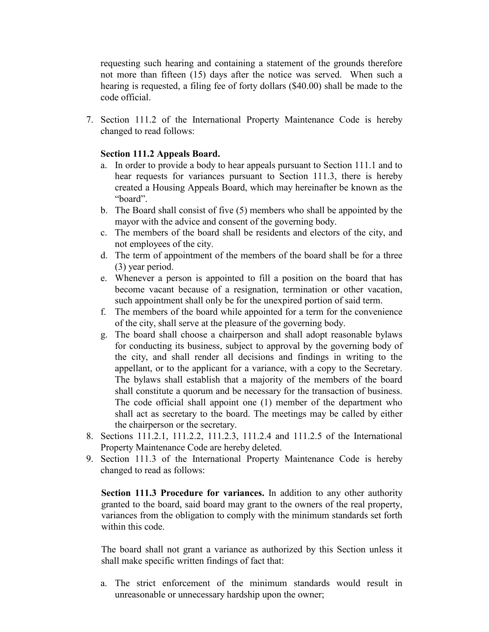requesting such hearing and containing a statement of the grounds therefore not more than fifteen (15) days after the notice was served. When such a hearing is requested, a filing fee of forty dollars (\$40.00) shall be made to the code official.

7. Section 111.2 of the International Property Maintenance Code is hereby changed to read follows:

### **Section 111.2 Appeals Board.**

- a. In order to provide a body to hear appeals pursuant to Section 111.1 and to hear requests for variances pursuant to Section 111.3, there is hereby created a Housing Appeals Board, which may hereinafter be known as the "board".
- b. The Board shall consist of five (5) members who shall be appointed by the mayor with the advice and consent of the governing body.
- c. The members of the board shall be residents and electors of the city, and not employees of the city.
- d. The term of appointment of the members of the board shall be for a three (3) year period.
- e. Whenever a person is appointed to fill a position on the board that has become vacant because of a resignation, termination or other vacation, such appointment shall only be for the unexpired portion of said term.
- f. The members of the board while appointed for a term for the convenience of the city, shall serve at the pleasure of the governing body.
- g. The board shall choose a chairperson and shall adopt reasonable bylaws for conducting its business, subject to approval by the governing body of the city, and shall render all decisions and findings in writing to the appellant, or to the applicant for a variance, with a copy to the Secretary. The bylaws shall establish that a majority of the members of the board shall constitute a quorum and be necessary for the transaction of business. The code official shall appoint one (1) member of the department who shall act as secretary to the board. The meetings may be called by either the chairperson or the secretary.
- 8. Sections 111.2.1, 111.2.2, 111.2.3, 111.2.4 and 111.2.5 of the International Property Maintenance Code are hereby deleted.
- 9. Section 111.3 of the International Property Maintenance Code is hereby changed to read as follows:

**Section 111.3 Procedure for variances.** In addition to any other authority granted to the board, said board may grant to the owners of the real property, variances from the obligation to comply with the minimum standards set forth within this code.

The board shall not grant a variance as authorized by this Section unless it shall make specific written findings of fact that:

a. The strict enforcement of the minimum standards would result in unreasonable or unnecessary hardship upon the owner;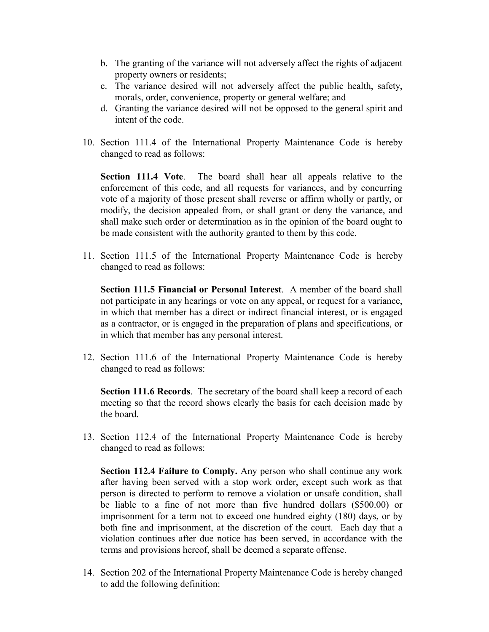- b. The granting of the variance will not adversely affect the rights of adjacent property owners or residents;
- c. The variance desired will not adversely affect the public health, safety, morals, order, convenience, property or general welfare; and
- d. Granting the variance desired will not be opposed to the general spirit and intent of the code.
- 10. Section 111.4 of the International Property Maintenance Code is hereby changed to read as follows:

**Section 111.4 Vote**. The board shall hear all appeals relative to the enforcement of this code, and all requests for variances, and by concurring vote of a majority of those present shall reverse or affirm wholly or partly, or modify, the decision appealed from, or shall grant or deny the variance, and shall make such order or determination as in the opinion of the board ought to be made consistent with the authority granted to them by this code.

11. Section 111.5 of the International Property Maintenance Code is hereby changed to read as follows:

**Section 111.5 Financial or Personal Interest**. A member of the board shall not participate in any hearings or vote on any appeal, or request for a variance, in which that member has a direct or indirect financial interest, or is engaged as a contractor, or is engaged in the preparation of plans and specifications, or in which that member has any personal interest.

12. Section 111.6 of the International Property Maintenance Code is hereby changed to read as follows:

**Section 111.6 Records**. The secretary of the board shall keep a record of each meeting so that the record shows clearly the basis for each decision made by the board.

13. Section 112.4 of the International Property Maintenance Code is hereby changed to read as follows:

**Section 112.4 Failure to Comply.** Any person who shall continue any work after having been served with a stop work order, except such work as that person is directed to perform to remove a violation or unsafe condition, shall be liable to a fine of not more than five hundred dollars (\$500.00) or imprisonment for a term not to exceed one hundred eighty (180) days, or by both fine and imprisonment, at the discretion of the court. Each day that a violation continues after due notice has been served, in accordance with the terms and provisions hereof, shall be deemed a separate offense.

14. Section 202 of the International Property Maintenance Code is hereby changed to add the following definition: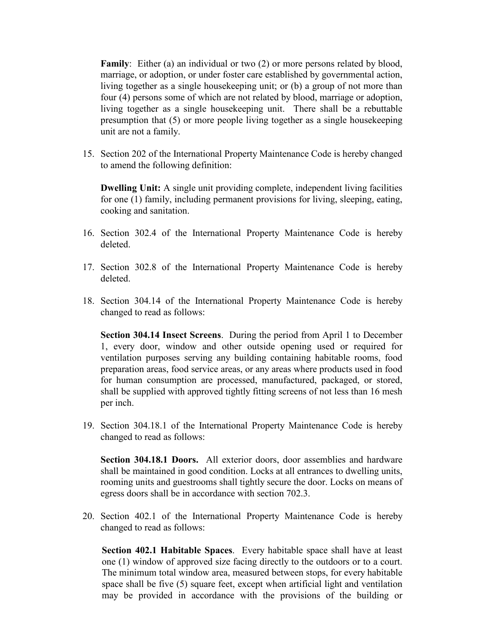**Family**: Either (a) an individual or two (2) or more persons related by blood, marriage, or adoption, or under foster care established by governmental action, living together as a single housekeeping unit; or (b) a group of not more than four (4) persons some of which are not related by blood, marriage or adoption, living together as a single housekeeping unit. There shall be a rebuttable presumption that (5) or more people living together as a single housekeeping unit are not a family.

15. Section 202 of the International Property Maintenance Code is hereby changed to amend the following definition:

**Dwelling Unit:** A single unit providing complete, independent living facilities for one (1) family, including permanent provisions for living, sleeping, eating, cooking and sanitation.

- 16. Section 302.4 of the International Property Maintenance Code is hereby deleted.
- 17. Section 302.8 of the International Property Maintenance Code is hereby deleted.
- 18. Section 304.14 of the International Property Maintenance Code is hereby changed to read as follows:

**Section 304.14 Insect Screens**. During the period from April 1 to December 1, every door, window and other outside opening used or required for ventilation purposes serving any building containing habitable rooms, food preparation areas, food service areas, or any areas where products used in food for human consumption are processed, manufactured, packaged, or stored, shall be supplied with approved tightly fitting screens of not less than 16 mesh per inch.

19. Section 304.18.1 of the International Property Maintenance Code is hereby changed to read as follows:

**Section 304.18.1 Doors.** All exterior doors, door assemblies and hardware shall be maintained in good condition. Locks at all entrances to dwelling units, rooming units and guestrooms shall tightly secure the door. Locks on means of egress doors shall be in accordance with section 702.3.

20. Section 402.1 of the International Property Maintenance Code is hereby changed to read as follows:

**Section 402.1 Habitable Spaces**. Every habitable space shall have at least one (1) window of approved size facing directly to the outdoors or to a court. The minimum total window area, measured between stops, for every habitable space shall be five (5) square feet, except when artificial light and ventilation may be provided in accordance with the provisions of the building or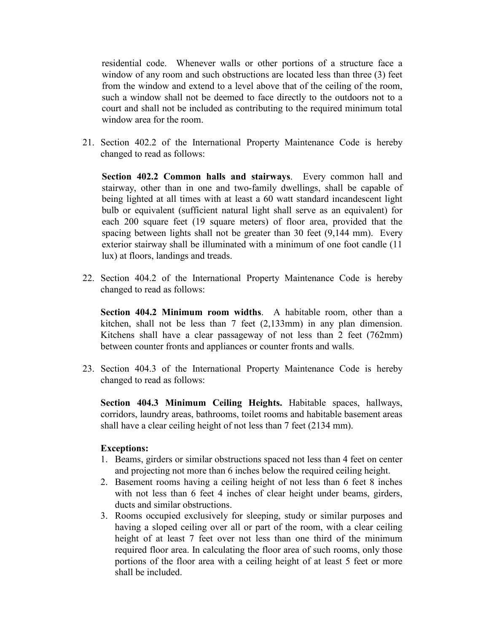residential code. Whenever walls or other portions of a structure face a window of any room and such obstructions are located less than three (3) feet from the window and extend to a level above that of the ceiling of the room, such a window shall not be deemed to face directly to the outdoors not to a court and shall not be included as contributing to the required minimum total window area for the room.

21. Section 402.2 of the International Property Maintenance Code is hereby changed to read as follows:

**Section 402.2 Common halls and stairways**. Every common hall and stairway, other than in one and two-family dwellings, shall be capable of being lighted at all times with at least a 60 watt standard incandescent light bulb or equivalent (sufficient natural light shall serve as an equivalent) for each 200 square feet (19 square meters) of floor area, provided that the spacing between lights shall not be greater than 30 feet (9,144 mm). Every exterior stairway shall be illuminated with a minimum of one foot candle (11 lux) at floors, landings and treads.

22. Section 404.2 of the International Property Maintenance Code is hereby changed to read as follows:

**Section 404.2 Minimum room widths**. A habitable room, other than a kitchen, shall not be less than 7 feet (2,133mm) in any plan dimension. Kitchens shall have a clear passageway of not less than 2 feet (762mm) between counter fronts and appliances or counter fronts and walls.

23. Section 404.3 of the International Property Maintenance Code is hereby changed to read as follows:

**Section 404.3 Minimum Ceiling Heights.** Habitable spaces, hallways, corridors, laundry areas, bathrooms, toilet rooms and habitable basement areas shall have a clear ceiling height of not less than 7 feet (2134 mm).

#### **Exceptions:**

- 1. Beams, girders or similar obstructions spaced not less than 4 feet on center and projecting not more than 6 inches below the required ceiling height.
- 2. Basement rooms having a ceiling height of not less than 6 feet 8 inches with not less than 6 feet 4 inches of clear height under beams, girders, ducts and similar obstructions.
- 3. Rooms occupied exclusively for sleeping, study or similar purposes and having a sloped ceiling over all or part of the room, with a clear ceiling height of at least 7 feet over not less than one third of the minimum required floor area. In calculating the floor area of such rooms, only those portions of the floor area with a ceiling height of at least 5 feet or more shall be included.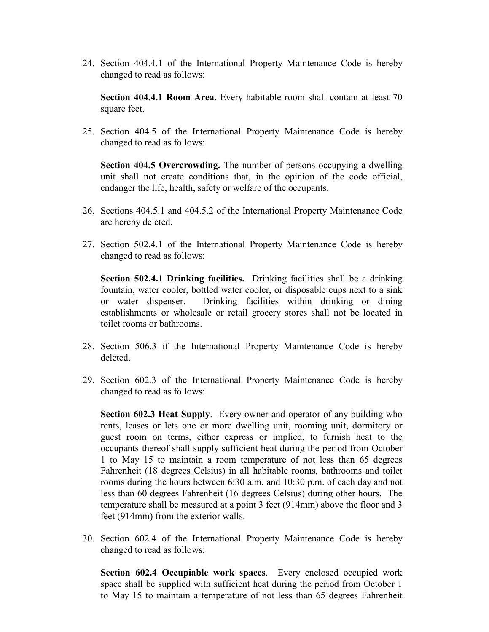24. Section 404.4.1 of the International Property Maintenance Code is hereby changed to read as follows:

**Section 404.4.1 Room Area.** Every habitable room shall contain at least 70 square feet.

25. Section 404.5 of the International Property Maintenance Code is hereby changed to read as follows:

**Section 404.5 Overcrowding.** The number of persons occupying a dwelling unit shall not create conditions that, in the opinion of the code official, endanger the life, health, safety or welfare of the occupants.

- 26. Sections 404.5.1 and 404.5.2 of the International Property Maintenance Code are hereby deleted.
- 27. Section 502.4.1 of the International Property Maintenance Code is hereby changed to read as follows:

**Section 502.4.1 Drinking facilities.** Drinking facilities shall be a drinking fountain, water cooler, bottled water cooler, or disposable cups next to a sink or water dispenser. Drinking facilities within drinking or dining establishments or wholesale or retail grocery stores shall not be located in toilet rooms or bathrooms.

- 28. Section 506.3 if the International Property Maintenance Code is hereby deleted.
- 29. Section 602.3 of the International Property Maintenance Code is hereby changed to read as follows:

**Section 602.3 Heat Supply.** Every owner and operator of any building who rents, leases or lets one or more dwelling unit, rooming unit, dormitory or guest room on terms, either express or implied, to furnish heat to the occupants thereof shall supply sufficient heat during the period from October 1 to May 15 to maintain a room temperature of not less than 65 degrees Fahrenheit (18 degrees Celsius) in all habitable rooms, bathrooms and toilet rooms during the hours between 6:30 a.m. and 10:30 p.m. of each day and not less than 60 degrees Fahrenheit (16 degrees Celsius) during other hours. The temperature shall be measured at a point 3 feet (914mm) above the floor and 3 feet (914mm) from the exterior walls.

30. Section 602.4 of the International Property Maintenance Code is hereby changed to read as follows:

**Section 602.4 Occupiable work spaces**. Every enclosed occupied work space shall be supplied with sufficient heat during the period from October 1 to May 15 to maintain a temperature of not less than 65 degrees Fahrenheit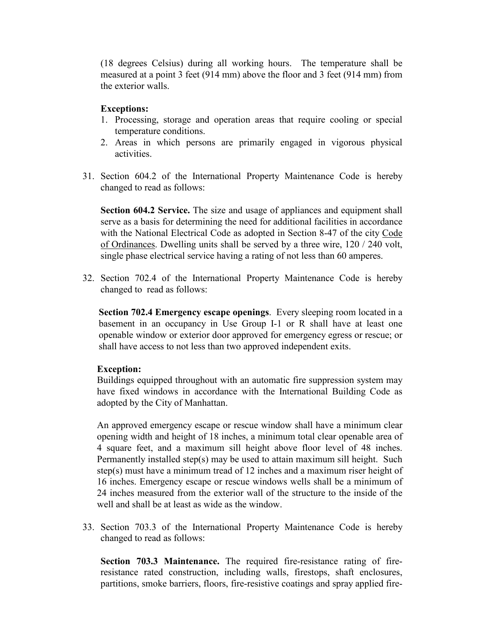(18 degrees Celsius) during all working hours. The temperature shall be measured at a point 3 feet (914 mm) above the floor and 3 feet (914 mm) from the exterior walls.

#### **Exceptions:**

- 1. Processing, storage and operation areas that require cooling or special temperature conditions.
- 2. Areas in which persons are primarily engaged in vigorous physical activities.
- 31. Section 604.2 of the International Property Maintenance Code is hereby changed to read as follows:

**Section 604.2 Service.** The size and usage of appliances and equipment shall serve as a basis for determining the need for additional facilities in accordance with the National Electrical Code as adopted in Section 8-47 of the city Code of Ordinances. Dwelling units shall be served by a three wire, 120 / 240 volt, single phase electrical service having a rating of not less than 60 amperes.

32. Section 702.4 of the International Property Maintenance Code is hereby changed to read as follows:

**Section 702.4 Emergency escape openings**. Every sleeping room located in a basement in an occupancy in Use Group I-1 or R shall have at least one openable window or exterior door approved for emergency egress or rescue; or shall have access to not less than two approved independent exits.

#### **Exception:**

Buildings equipped throughout with an automatic fire suppression system may have fixed windows in accordance with the International Building Code as adopted by the City of Manhattan.

An approved emergency escape or rescue window shall have a minimum clear opening width and height of 18 inches, a minimum total clear openable area of 4 square feet, and a maximum sill height above floor level of 48 inches. Permanently installed step(s) may be used to attain maximum sill height. Such step(s) must have a minimum tread of 12 inches and a maximum riser height of 16 inches. Emergency escape or rescue windows wells shall be a minimum of 24 inches measured from the exterior wall of the structure to the inside of the well and shall be at least as wide as the window.

33. Section 703.3 of the International Property Maintenance Code is hereby changed to read as follows:

**Section 703.3 Maintenance.** The required fire-resistance rating of fireresistance rated construction, including walls, firestops, shaft enclosures, partitions, smoke barriers, floors, fire-resistive coatings and spray applied fire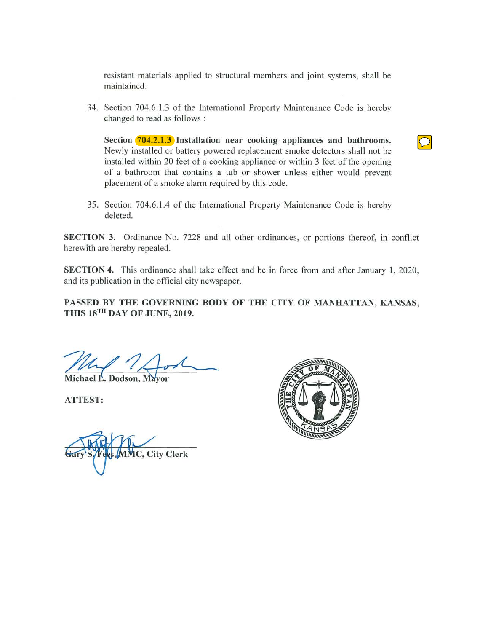resistant materials applied to structural members and joint systems, shall be maintained.

34. Section 704.6.1.3 of the International Property Maintenance Code is hereby changed to read as follows :

Section **704.2.1.3** Installation near cooking appliances and bathrooms. Newly installed or battery powered replacement smoke detectors shall not be installed within 20 feet of a cooking appliance or within 3 feet of the opening of a bathroom that contains a tub or shower unless either would prevent placement of a smoke alarm required by this code.

35. Section 704.6.1.4 of the International Property Maintenance Code is hereby deleted.

SECTION 3. Ordinance No. 7228 and all other ordinances, or portions thereof, in conflict herewith are hereby repealed.

SECTION 4. This ordinance shall take effect and be in force from and after January 1, 2020, and its publication in the official city newspaper.

PASSED BY THE GOVERNING BODY OF THE CITY OF MANHATTAN, KANSAS, THIS 18TH DAY OF JUNE, 2019.

Michael L. Dodson, Mayor

**ATTEST:** 

**IC, City Clerk**